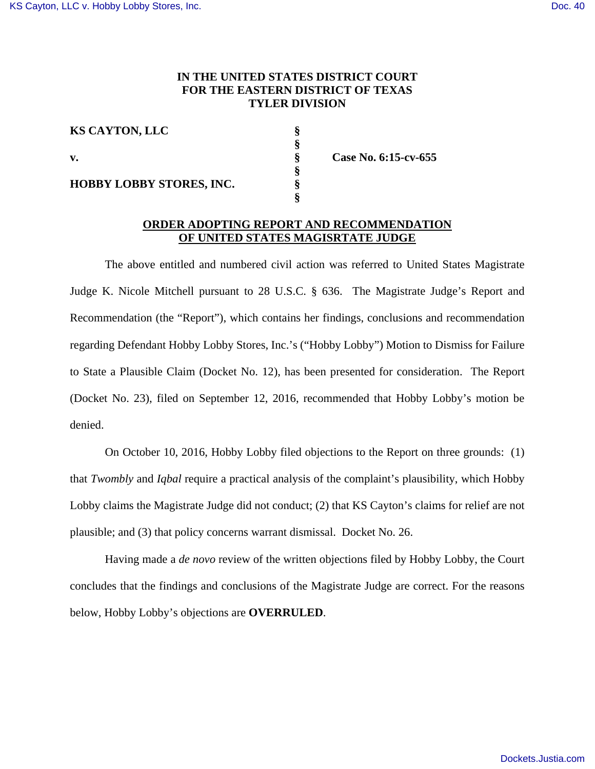## **IN THE UNITED STATES DISTRICT COURT FOR THE EASTERN DISTRICT OF TEXAS TYLER DIVISION**

| <b>KS CAYTON, LLC</b>           |  |
|---------------------------------|--|
|                                 |  |
| v.                              |  |
|                                 |  |
| <b>HOBBY LOBBY STORES, INC.</b> |  |
|                                 |  |

**v. § Case No. 6:15-cv-655** 

### **ORDER ADOPTING REPORT AND RECOMMENDATION OF UNITED STATES MAGISRTATE JUDGE**

 The above entitled and numbered civil action was referred to United States Magistrate Judge K. Nicole Mitchell pursuant to 28 U.S.C. § 636. The Magistrate Judge's Report and Recommendation (the "Report"), which contains her findings, conclusions and recommendation regarding Defendant Hobby Lobby Stores, Inc.'s ("Hobby Lobby") Motion to Dismiss for Failure to State a Plausible Claim (Docket No. 12), has been presented for consideration. The Report (Docket No. 23), filed on September 12, 2016, recommended that Hobby Lobby's motion be denied.

 On October 10, 2016, Hobby Lobby filed objections to the Report on three grounds: (1) that *Twombly* and *Iqbal* require a practical analysis of the complaint's plausibility, which Hobby Lobby claims the Magistrate Judge did not conduct; (2) that KS Cayton's claims for relief are not plausible; and (3) that policy concerns warrant dismissal. Docket No. 26.

Having made a *de novo* review of the written objections filed by Hobby Lobby, the Court concludes that the findings and conclusions of the Magistrate Judge are correct. For the reasons below, Hobby Lobby's objections are **OVERRULED**.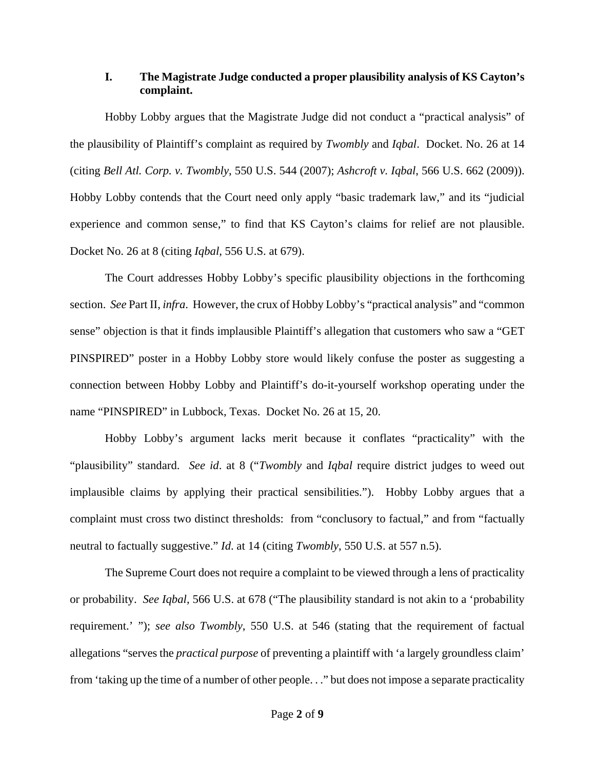# **I. The Magistrate Judge conducted a proper plausibility analysis of KS Cayton's complaint.**

Hobby Lobby argues that the Magistrate Judge did not conduct a "practical analysis" of the plausibility of Plaintiff's complaint as required by *Twombly* and *Iqbal*. Docket. No. 26 at 14 (citing *Bell Atl. Corp. v. Twombly*, 550 U.S. 544 (2007); *Ashcroft v. Iqbal*, 566 U.S. 662 (2009)). Hobby Lobby contends that the Court need only apply "basic trademark law," and its "judicial experience and common sense," to find that KS Cayton's claims for relief are not plausible. Docket No. 26 at 8 (citing *Iqbal*, 556 U.S. at 679).

The Court addresses Hobby Lobby's specific plausibility objections in the forthcoming section. *See* Part II, *infra*. However, the crux of Hobby Lobby's "practical analysis" and "common sense" objection is that it finds implausible Plaintiff's allegation that customers who saw a "GET PINSPIRED" poster in a Hobby Lobby store would likely confuse the poster as suggesting a connection between Hobby Lobby and Plaintiff's do-it-yourself workshop operating under the name "PINSPIRED" in Lubbock, Texas. Docket No. 26 at 15, 20.

Hobby Lobby's argument lacks merit because it conflates "practicality" with the "plausibility" standard. *See id*. at 8 ("*Twombly* and *Iqbal* require district judges to weed out implausible claims by applying their practical sensibilities."). Hobby Lobby argues that a complaint must cross two distinct thresholds: from "conclusory to factual," and from "factually neutral to factually suggestive." *Id*. at 14 (citing *Twombly*, 550 U.S. at 557 n.5).

The Supreme Court does not require a complaint to be viewed through a lens of practicality or probability. *See Iqbal*, 566 U.S. at 678 ("The plausibility standard is not akin to a 'probability requirement.' "); *see also Twombly*, 550 U.S. at 546 (stating that the requirement of factual allegations "serves the *practical purpose* of preventing a plaintiff with 'a largely groundless claim' from 'taking up the time of a number of other people. . ." but does not impose a separate practicality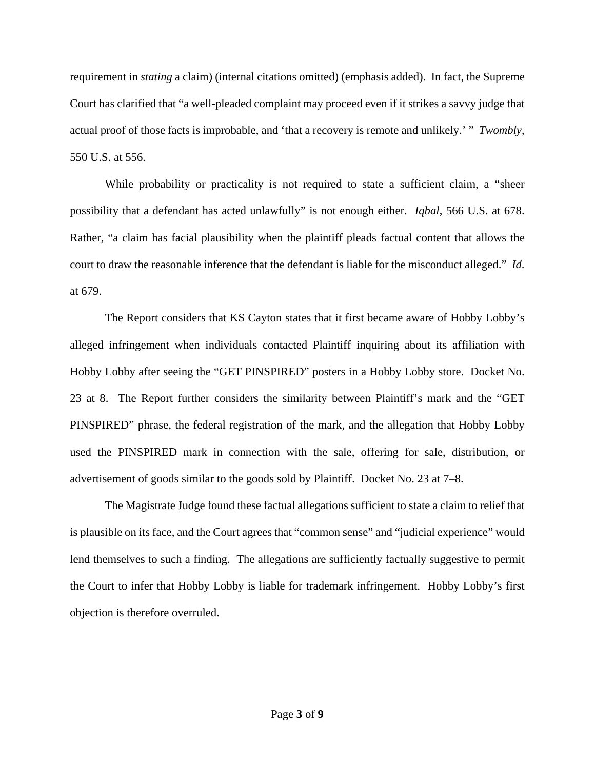requirement in *stating* a claim) (internal citations omitted) (emphasis added). In fact, the Supreme Court has clarified that "a well-pleaded complaint may proceed even if it strikes a savvy judge that actual proof of those facts is improbable, and 'that a recovery is remote and unlikely.' " *Twombly*, 550 U.S. at 556.

While probability or practicality is not required to state a sufficient claim, a "sheer possibility that a defendant has acted unlawfully" is not enough either. *Iqbal*, 566 U.S. at 678. Rather, "a claim has facial plausibility when the plaintiff pleads factual content that allows the court to draw the reasonable inference that the defendant is liable for the misconduct alleged." *Id*. at 679.

The Report considers that KS Cayton states that it first became aware of Hobby Lobby's alleged infringement when individuals contacted Plaintiff inquiring about its affiliation with Hobby Lobby after seeing the "GET PINSPIRED" posters in a Hobby Lobby store. Docket No. 23 at 8. The Report further considers the similarity between Plaintiff's mark and the "GET PINSPIRED" phrase, the federal registration of the mark, and the allegation that Hobby Lobby used the PINSPIRED mark in connection with the sale, offering for sale, distribution, or advertisement of goods similar to the goods sold by Plaintiff. Docket No. 23 at 7–8.

The Magistrate Judge found these factual allegations sufficient to state a claim to relief that is plausible on its face, and the Court agrees that "common sense" and "judicial experience" would lend themselves to such a finding. The allegations are sufficiently factually suggestive to permit the Court to infer that Hobby Lobby is liable for trademark infringement. Hobby Lobby's first objection is therefore overruled.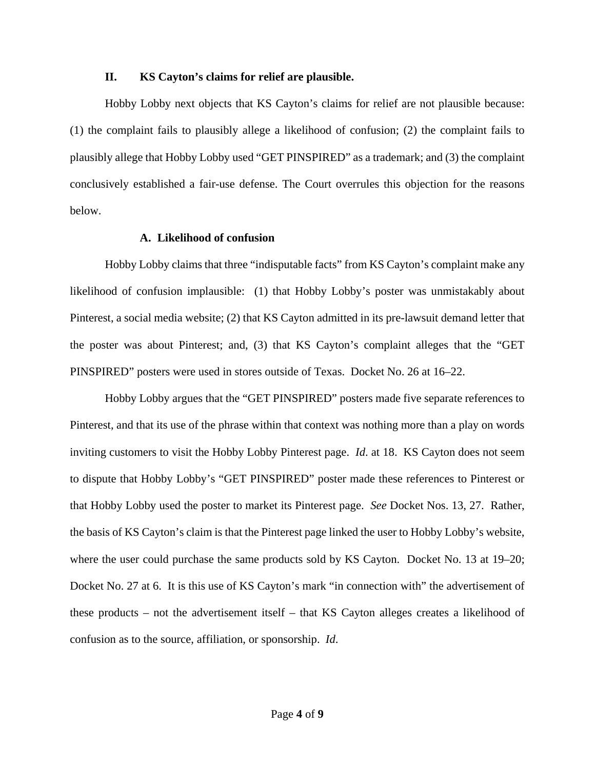#### **II. KS Cayton's claims for relief are plausible.**

Hobby Lobby next objects that KS Cayton's claims for relief are not plausible because: (1) the complaint fails to plausibly allege a likelihood of confusion; (2) the complaint fails to plausibly allege that Hobby Lobby used "GET PINSPIRED" as a trademark; and (3) the complaint conclusively established a fair-use defense. The Court overrules this objection for the reasons below.

#### **A. Likelihood of confusion**

Hobby Lobby claims that three "indisputable facts" from KS Cayton's complaint make any likelihood of confusion implausible: (1) that Hobby Lobby's poster was unmistakably about Pinterest, a social media website; (2) that KS Cayton admitted in its pre-lawsuit demand letter that the poster was about Pinterest; and, (3) that KS Cayton's complaint alleges that the "GET PINSPIRED" posters were used in stores outside of Texas. Docket No. 26 at 16–22.

 Hobby Lobby argues that the "GET PINSPIRED" posters made five separate references to Pinterest, and that its use of the phrase within that context was nothing more than a play on words inviting customers to visit the Hobby Lobby Pinterest page. *Id*. at 18. KS Cayton does not seem to dispute that Hobby Lobby's "GET PINSPIRED" poster made these references to Pinterest or that Hobby Lobby used the poster to market its Pinterest page. *See* Docket Nos. 13, 27. Rather, the basis of KS Cayton's claim is that the Pinterest page linked the user to Hobby Lobby's website, where the user could purchase the same products sold by KS Cayton. Docket No. 13 at 19–20; Docket No. 27 at 6. It is this use of KS Cayton's mark "in connection with" the advertisement of these products – not the advertisement itself – that KS Cayton alleges creates a likelihood of confusion as to the source, affiliation, or sponsorship. *Id*.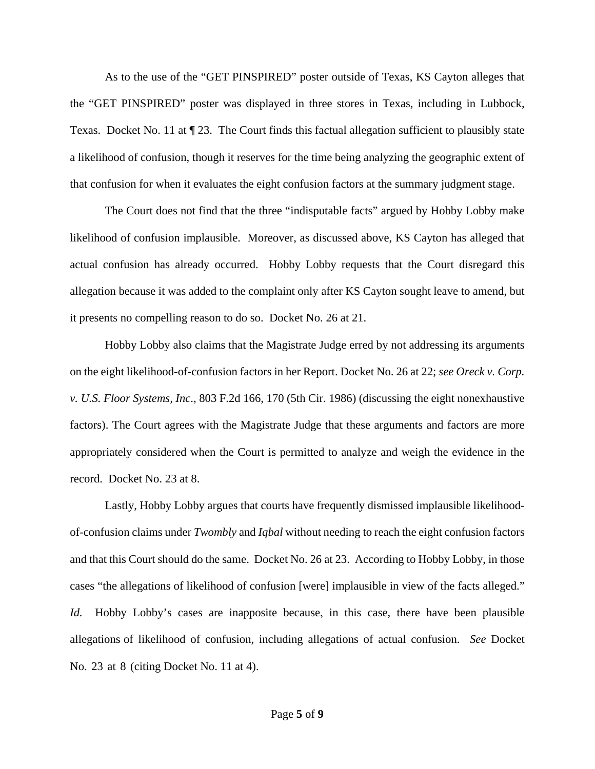As to the use of the "GET PINSPIRED" poster outside of Texas, KS Cayton alleges that the "GET PINSPIRED" poster was displayed in three stores in Texas, including in Lubbock, Texas. Docket No. 11 at ¶ 23. The Court finds this factual allegation sufficient to plausibly state a likelihood of confusion, though it reserves for the time being analyzing the geographic extent of that confusion for when it evaluates the eight confusion factors at the summary judgment stage.

The Court does not find that the three "indisputable facts" argued by Hobby Lobby make likelihood of confusion implausible. Moreover, as discussed above, KS Cayton has alleged that actual confusion has already occurred. Hobby Lobby requests that the Court disregard this allegation because it was added to the complaint only after KS Cayton sought leave to amend, but it presents no compelling reason to do so. Docket No. 26 at 21.

Hobby Lobby also claims that the Magistrate Judge erred by not addressing its arguments on the eight likelihood-of-confusion factors in her Report. Docket No. 26 at 22; *see Oreck v. Corp. v. U.S. Floor Systems, Inc*., 803 F.2d 166, 170 (5th Cir. 1986) (discussing the eight nonexhaustive factors). The Court agrees with the Magistrate Judge that these arguments and factors are more appropriately considered when the Court is permitted to analyze and weigh the evidence in the record. Docket No. 23 at 8.

Lastly, Hobby Lobby argues that courts have frequently dismissed implausible likelihoodof-confusion claims under *Twombly* and *Iqbal* without needing to reach the eight confusion factors and that this Court should do the same. Docket No. 26 at 23. According to Hobby Lobby, in those cases "the allegations of likelihood of confusion [were] implausible in view of the facts alleged." *Id.* Hobby Lobby's cases are inapposite because, in this case, there have been plausible allegations of likelihood of confusion, including allegations of actual confusion. *See* Docket No. 23 at 8 (citing Docket No. 11 at 4).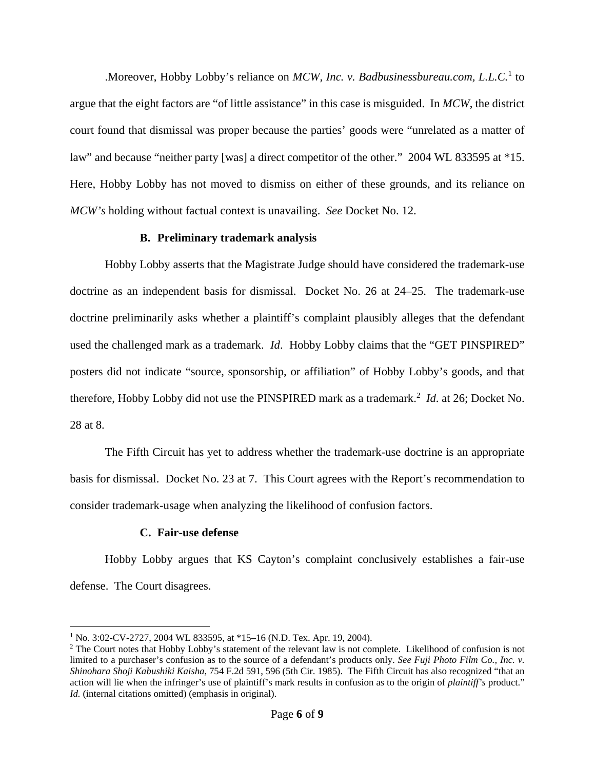Moreover, Hobby Lobby's reliance on *MCW*, Inc. v. Badbusinessbureau.com, L.L.C.<sup>1</sup> to argue that the eight factors are "of little assistance" in this case is misguided. In *MCW*, the district court found that dismissal was proper because the parties' goods were "unrelated as a matter of law" and because "neither party [was] a direct competitor of the other." 2004 WL 833595 at \*15. Here, Hobby Lobby has not moved to dismiss on either of these grounds, and its reliance on *MCW's* holding without factual context is unavailing. *See* Docket No. 12.

### **B. Preliminary trademark analysis**

Hobby Lobby asserts that the Magistrate Judge should have considered the trademark-use doctrine as an independent basis for dismissal. Docket No. 26 at 24–25. The trademark-use doctrine preliminarily asks whether a plaintiff's complaint plausibly alleges that the defendant used the challenged mark as a trademark. *Id*. Hobby Lobby claims that the "GET PINSPIRED" posters did not indicate "source, sponsorship, or affiliation" of Hobby Lobby's goods, and that therefore, Hobby Lobby did not use the PINSPIRED mark as a trademark.<sup>2</sup> *Id*. at 26; Docket No. 28 at 8.

The Fifth Circuit has yet to address whether the trademark-use doctrine is an appropriate basis for dismissal. Docket No. 23 at 7. This Court agrees with the Report's recommendation to consider trademark-usage when analyzing the likelihood of confusion factors.

#### **C. Fair-use defense**

Hobby Lobby argues that KS Cayton's complaint conclusively establishes a fair-use defense. The Court disagrees.

<sup>&</sup>lt;u>.</u> <sup>1</sup> No. 3:02-CV-2727, 2004 WL 833595, at \*15–16 (N.D. Tex. Apr. 19, 2004).

 $2$  The Court notes that Hobby Lobby's statement of the relevant law is not complete. Likelihood of confusion is not limited to a purchaser's confusion as to the source of a defendant's products only. *See Fuji Photo Film Co., Inc. v. Shinohara Shoji Kabushiki Kaisha*, 754 F.2d 591, 596 (5th Cir. 1985). The Fifth Circuit has also recognized "that an action will lie when the infringer's use of plaintiff's mark results in confusion as to the origin of *plaintiff's* product." *Id.* (internal citations omitted) (emphasis in original).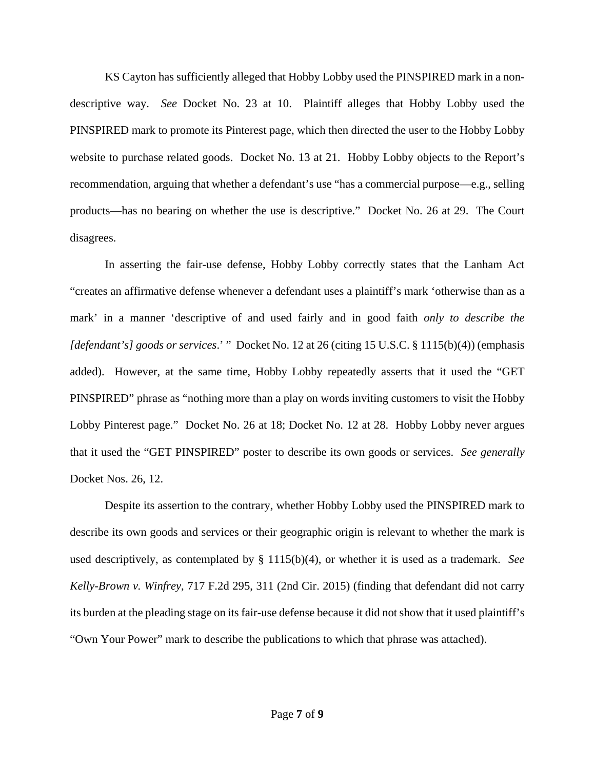KS Cayton has sufficiently alleged that Hobby Lobby used the PINSPIRED mark in a nondescriptive way. *See* Docket No. 23 at 10. Plaintiff alleges that Hobby Lobby used the PINSPIRED mark to promote its Pinterest page, which then directed the user to the Hobby Lobby website to purchase related goods. Docket No. 13 at 21. Hobby Lobby objects to the Report's recommendation, arguing that whether a defendant's use "has a commercial purpose—e.g., selling products—has no bearing on whether the use is descriptive." Docket No. 26 at 29. The Court disagrees.

In asserting the fair-use defense, Hobby Lobby correctly states that the Lanham Act "creates an affirmative defense whenever a defendant uses a plaintiff's mark 'otherwise than as a mark' in a manner 'descriptive of and used fairly and in good faith *only to describe the [defendant's] goods or services*.' " Docket No. 12 at 26 (citing 15 U.S.C. § 1115(b)(4)) (emphasis added). However, at the same time, Hobby Lobby repeatedly asserts that it used the "GET PINSPIRED" phrase as "nothing more than a play on words inviting customers to visit the Hobby Lobby Pinterest page." Docket No. 26 at 18; Docket No. 12 at 28. Hobby Lobby never argues that it used the "GET PINSPIRED" poster to describe its own goods or services. *See generally* Docket Nos. 26, 12.

Despite its assertion to the contrary, whether Hobby Lobby used the PINSPIRED mark to describe its own goods and services or their geographic origin is relevant to whether the mark is used descriptively, as contemplated by § 1115(b)(4), or whether it is used as a trademark. *See Kelly-Brown v. Winfrey*, 717 F.2d 295, 311 (2nd Cir. 2015) (finding that defendant did not carry its burden at the pleading stage on its fair-use defense because it did not show that it used plaintiff's "Own Your Power" mark to describe the publications to which that phrase was attached).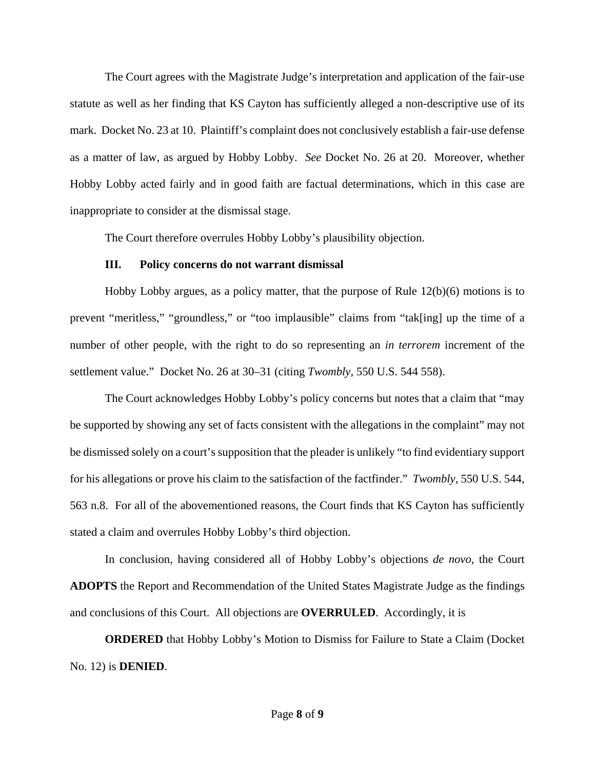The Court agrees with the Magistrate Judge's interpretation and application of the fair-use statute as well as her finding that KS Cayton has sufficiently alleged a non-descriptive use of its mark. Docket No. 23 at 10. Plaintiff's complaint does not conclusively establish a fair-use defense as a matter of law, as argued by Hobby Lobby. *See* Docket No. 26 at 20. Moreover, whether Hobby Lobby acted fairly and in good faith are factual determinations, which in this case are inappropriate to consider at the dismissal stage.

The Court therefore overrules Hobby Lobby's plausibility objection.

### **III. Policy concerns do not warrant dismissal**

Hobby Lobby argues, as a policy matter, that the purpose of Rule 12(b)(6) motions is to prevent "meritless," "groundless," or "too implausible" claims from "tak[ing] up the time of a number of other people, with the right to do so representing an *in terrorem* increment of the settlement value." Docket No. 26 at 30–31 (citing *Twombly*, 550 U.S. 544 558).

The Court acknowledges Hobby Lobby's policy concerns but notes that a claim that "may be supported by showing any set of facts consistent with the allegations in the complaint" may not be dismissed solely on a court's supposition that the pleader is unlikely "to find evidentiary support for his allegations or prove his claim to the satisfaction of the factfinder." *Twombly*, 550 U.S. 544, 563 n.8. For all of the abovementioned reasons, the Court finds that KS Cayton has sufficiently stated a claim and overrules Hobby Lobby's third objection.

In conclusion, having considered all of Hobby Lobby's objections *de novo*, the Court **ADOPTS** the Report and Recommendation of the United States Magistrate Judge as the findings and conclusions of this Court. All objections are **OVERRULED**.Accordingly, it is

**ORDERED** that Hobby Lobby's Motion to Dismiss for Failure to State a Claim (Docket No. 12) is **DENIED**.